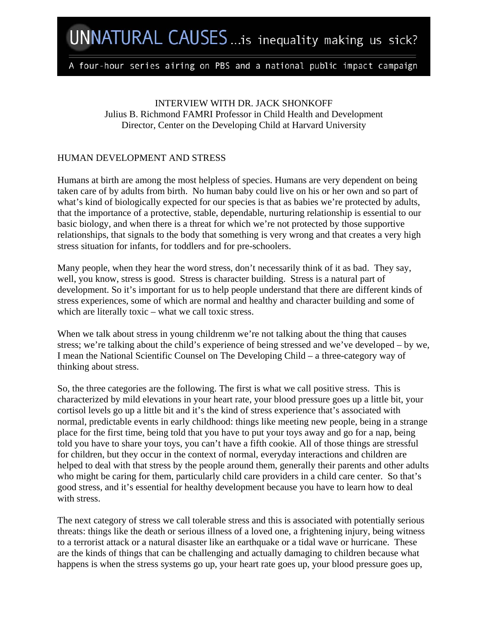# A four-hour series airing on PBS and a national public impact campaign

INTERVIEW WITH DR. JACK SHONKOFF Julius B. Richmond FAMRI Professor in Child Health and Development Director, Center on the Developing Child at Harvard University

## HUMAN DEVELOPMENT AND STRESS

Humans at birth are among the most helpless of species. Humans are very dependent on being taken care of by adults from birth. No human baby could live on his or her own and so part of what's kind of biologically expected for our species is that as babies we're protected by adults, that the importance of a protective, stable, dependable, nurturing relationship is essential to our basic biology, and when there is a threat for which we're not protected by those supportive relationships, that signals to the body that something is very wrong and that creates a very high stress situation for infants, for toddlers and for pre-schoolers.

Many people, when they hear the word stress, don't necessarily think of it as bad. They say, well, you know, stress is good. Stress is character building. Stress is a natural part of development. So it's important for us to help people understand that there are different kinds of stress experiences, some of which are normal and healthy and character building and some of which are literally toxic – what we call toxic stress.

When we talk about stress in young childrenm we're not talking about the thing that causes stress; we're talking about the child's experience of being stressed and we've developed – by we, I mean the National Scientific Counsel on The Developing Child – a three-category way of thinking about stress.

So, the three categories are the following. The first is what we call positive stress. This is characterized by mild elevations in your heart rate, your blood pressure goes up a little bit, your cortisol levels go up a little bit and it's the kind of stress experience that's associated with normal, predictable events in early childhood: things like meeting new people, being in a strange place for the first time, being told that you have to put your toys away and go for a nap, being told you have to share your toys, you can't have a fifth cookie. All of those things are stressful for children, but they occur in the context of normal, everyday interactions and children are helped to deal with that stress by the people around them, generally their parents and other adults who might be caring for them, particularly child care providers in a child care center. So that's good stress, and it's essential for healthy development because you have to learn how to deal with stress.

The next category of stress we call tolerable stress and this is associated with potentially serious threats: things like the death or serious illness of a loved one, a frightening injury, being witness to a terrorist attack or a natural disaster like an earthquake or a tidal wave or hurricane. These are the kinds of things that can be challenging and actually damaging to children because what happens is when the stress systems go up, your heart rate goes up, your blood pressure goes up,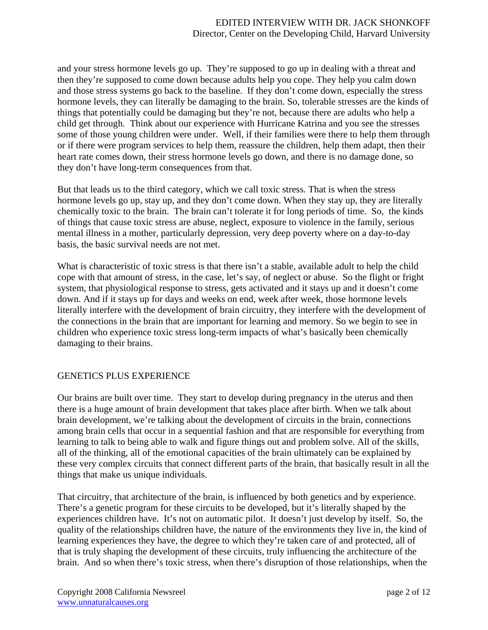and your stress hormone levels go up. They're supposed to go up in dealing with a threat and then they're supposed to come down because adults help you cope. They help you calm down and those stress systems go back to the baseline. If they don't come down, especially the stress hormone levels, they can literally be damaging to the brain. So, tolerable stresses are the kinds of things that potentially could be damaging but they're not, because there are adults who help a child get through. Think about our experience with Hurricane Katrina and you see the stresses some of those young children were under. Well, if their families were there to help them through or if there were program services to help them, reassure the children, help them adapt, then their heart rate comes down, their stress hormone levels go down, and there is no damage done, so they don't have long-term consequences from that.

But that leads us to the third category, which we call toxic stress. That is when the stress hormone levels go up, stay up, and they don't come down. When they stay up, they are literally chemically toxic to the brain. The brain can't tolerate it for long periods of time. So, the kinds of things that cause toxic stress are abuse, neglect, exposure to violence in the family, serious mental illness in a mother, particularly depression, very deep poverty where on a day-to-day basis, the basic survival needs are not met.

What is characteristic of toxic stress is that there isn't a stable, available adult to help the child cope with that amount of stress, in the case, let's say, of neglect or abuse. So the flight or fright system, that physiological response to stress, gets activated and it stays up and it doesn't come down. And if it stays up for days and weeks on end, week after week, those hormone levels literally interfere with the development of brain circuitry, they interfere with the development of the connections in the brain that are important for learning and memory. So we begin to see in children who experience toxic stress long-term impacts of what's basically been chemically damaging to their brains.

# GENETICS PLUS EXPERIENCE

Our brains are built over time. They start to develop during pregnancy in the uterus and then there is a huge amount of brain development that takes place after birth. When we talk about brain development, we're talking about the development of circuits in the brain, connections among brain cells that occur in a sequential fashion and that are responsible for everything from learning to talk to being able to walk and figure things out and problem solve. All of the skills, all of the thinking, all of the emotional capacities of the brain ultimately can be explained by these very complex circuits that connect different parts of the brain, that basically result in all the things that make us unique individuals.

That circuitry, that architecture of the brain, is influenced by both genetics and by experience. There's a genetic program for these circuits to be developed, but it's literally shaped by the experiences children have. It's not on automatic pilot. It doesn't just develop by itself. So, the quality of the relationships children have, the nature of the environments they live in, the kind of learning experiences they have, the degree to which they're taken care of and protected, all of that is truly shaping the development of these circuits, truly influencing the architecture of the brain. And so when there's toxic stress, when there's disruption of those relationships, when the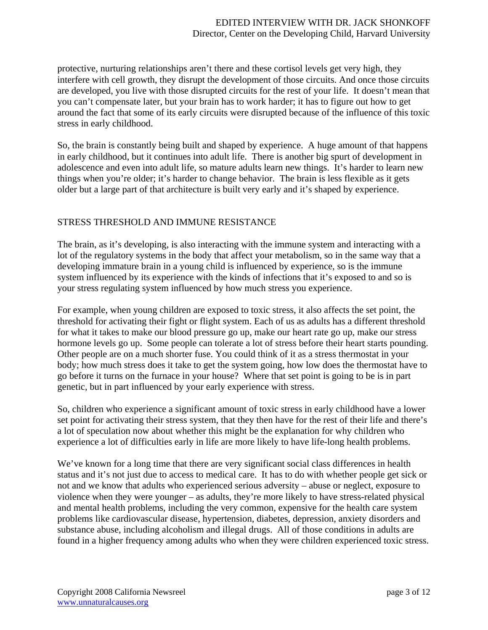protective, nurturing relationships aren't there and these cortisol levels get very high, they interfere with cell growth, they disrupt the development of those circuits. And once those circuits are developed, you live with those disrupted circuits for the rest of your life. It doesn't mean that you can't compensate later, but your brain has to work harder; it has to figure out how to get around the fact that some of its early circuits were disrupted because of the influence of this toxic stress in early childhood.

So, the brain is constantly being built and shaped by experience. A huge amount of that happens in early childhood, but it continues into adult life. There is another big spurt of development in adolescence and even into adult life, so mature adults learn new things. It's harder to learn new things when you're older; it's harder to change behavior. The brain is less flexible as it gets older but a large part of that architecture is built very early and it's shaped by experience.

## STRESS THRESHOLD AND IMMUNE RESISTANCE

The brain, as it's developing, is also interacting with the immune system and interacting with a lot of the regulatory systems in the body that affect your metabolism, so in the same way that a developing immature brain in a young child is influenced by experience, so is the immune system influenced by its experience with the kinds of infections that it's exposed to and so is your stress regulating system influenced by how much stress you experience.

For example, when young children are exposed to toxic stress, it also affects the set point, the threshold for activating their fight or flight system. Each of us as adults has a different threshold for what it takes to make our blood pressure go up, make our heart rate go up, make our stress hormone levels go up. Some people can tolerate a lot of stress before their heart starts pounding. Other people are on a much shorter fuse. You could think of it as a stress thermostat in your body; how much stress does it take to get the system going, how low does the thermostat have to go before it turns on the furnace in your house? Where that set point is going to be is in part genetic, but in part influenced by your early experience with stress.

So, children who experience a significant amount of toxic stress in early childhood have a lower set point for activating their stress system, that they then have for the rest of their life and there's a lot of speculation now about whether this might be the explanation for why children who experience a lot of difficulties early in life are more likely to have life-long health problems.

We've known for a long time that there are very significant social class differences in health status and it's not just due to access to medical care. It has to do with whether people get sick or not and we know that adults who experienced serious adversity – abuse or neglect, exposure to violence when they were younger – as adults, they're more likely to have stress-related physical and mental health problems, including the very common, expensive for the health care system problems like cardiovascular disease, hypertension, diabetes, depression, anxiety disorders and substance abuse, including alcoholism and illegal drugs. All of those conditions in adults are found in a higher frequency among adults who when they were children experienced toxic stress.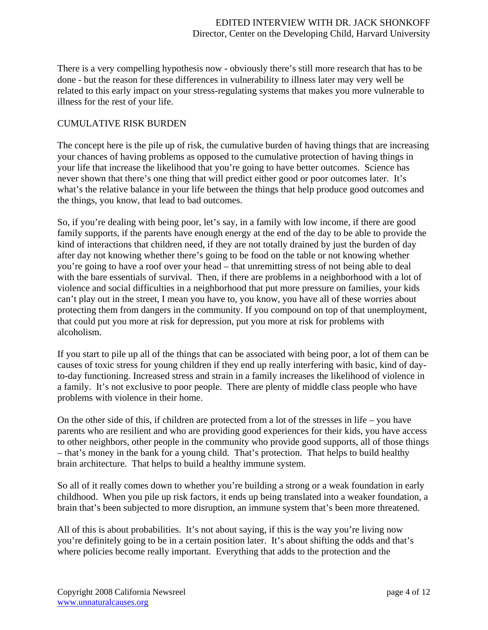There is a very compelling hypothesis now - obviously there's still more research that has to be done - but the reason for these differences in vulnerability to illness later may very well be related to this early impact on your stress-regulating systems that makes you more vulnerable to illness for the rest of your life.

## CUMULATIVE RISK BURDEN

The concept here is the pile up of risk, the cumulative burden of having things that are increasing your chances of having problems as opposed to the cumulative protection of having things in your life that increase the likelihood that you're going to have better outcomes. Science has never shown that there's one thing that will predict either good or poor outcomes later. It's what's the relative balance in your life between the things that help produce good outcomes and the things, you know, that lead to bad outcomes.

So, if you're dealing with being poor, let's say, in a family with low income, if there are good family supports, if the parents have enough energy at the end of the day to be able to provide the kind of interactions that children need, if they are not totally drained by just the burden of day after day not knowing whether there's going to be food on the table or not knowing whether you're going to have a roof over your head – that unremitting stress of not being able to deal with the bare essentials of survival. Then, if there are problems in a neighborhood with a lot of violence and social difficulties in a neighborhood that put more pressure on families, your kids can't play out in the street, I mean you have to, you know, you have all of these worries about protecting them from dangers in the community. If you compound on top of that unemployment, that could put you more at risk for depression, put you more at risk for problems with alcoholism.

If you start to pile up all of the things that can be associated with being poor, a lot of them can be causes of toxic stress for young children if they end up really interfering with basic, kind of dayto-day functioning. Increased stress and strain in a family increases the likelihood of violence in a family. It's not exclusive to poor people. There are plenty of middle class people who have problems with violence in their home.

On the other side of this, if children are protected from a lot of the stresses in life – you have parents who are resilient and who are providing good experiences for their kids, you have access to other neighbors, other people in the community who provide good supports, all of those things – that's money in the bank for a young child. That's protection. That helps to build healthy brain architecture. That helps to build a healthy immune system.

So all of it really comes down to whether you're building a strong or a weak foundation in early childhood. When you pile up risk factors, it ends up being translated into a weaker foundation, a brain that's been subjected to more disruption, an immune system that's been more threatened.

All of this is about probabilities. It's not about saying, if this is the way you're living now you're definitely going to be in a certain position later. It's about shifting the odds and that's where policies become really important. Everything that adds to the protection and the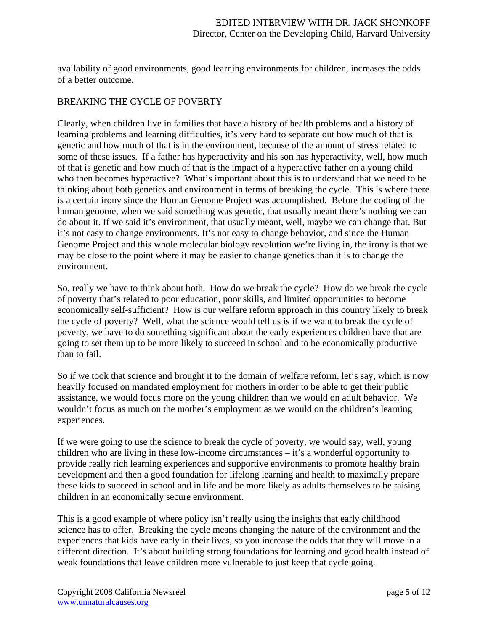availability of good environments, good learning environments for children, increases the odds of a better outcome.

## BREAKING THE CYCLE OF POVERTY

Clearly, when children live in families that have a history of health problems and a history of learning problems and learning difficulties, it's very hard to separate out how much of that is genetic and how much of that is in the environment, because of the amount of stress related to some of these issues. If a father has hyperactivity and his son has hyperactivity, well, how much of that is genetic and how much of that is the impact of a hyperactive father on a young child who then becomes hyperactive? What's important about this is to understand that we need to be thinking about both genetics and environment in terms of breaking the cycle. This is where there is a certain irony since the Human Genome Project was accomplished. Before the coding of the human genome, when we said something was genetic, that usually meant there's nothing we can do about it. If we said it's environment, that usually meant, well, maybe we can change that. But it's not easy to change environments. It's not easy to change behavior, and since the Human Genome Project and this whole molecular biology revolution we're living in, the irony is that we may be close to the point where it may be easier to change genetics than it is to change the environment.

So, really we have to think about both. How do we break the cycle? How do we break the cycle of poverty that's related to poor education, poor skills, and limited opportunities to become economically self-sufficient? How is our welfare reform approach in this country likely to break the cycle of poverty? Well, what the science would tell us is if we want to break the cycle of poverty, we have to do something significant about the early experiences children have that are going to set them up to be more likely to succeed in school and to be economically productive than to fail.

So if we took that science and brought it to the domain of welfare reform, let's say, which is now heavily focused on mandated employment for mothers in order to be able to get their public assistance, we would focus more on the young children than we would on adult behavior. We wouldn't focus as much on the mother's employment as we would on the children's learning experiences.

If we were going to use the science to break the cycle of poverty, we would say, well, young children who are living in these low-income circumstances – it's a wonderful opportunity to provide really rich learning experiences and supportive environments to promote healthy brain development and then a good foundation for lifelong learning and health to maximally prepare these kids to succeed in school and in life and be more likely as adults themselves to be raising children in an economically secure environment.

This is a good example of where policy isn't really using the insights that early childhood science has to offer. Breaking the cycle means changing the nature of the environment and the experiences that kids have early in their lives, so you increase the odds that they will move in a different direction. It's about building strong foundations for learning and good health instead of weak foundations that leave children more vulnerable to just keep that cycle going.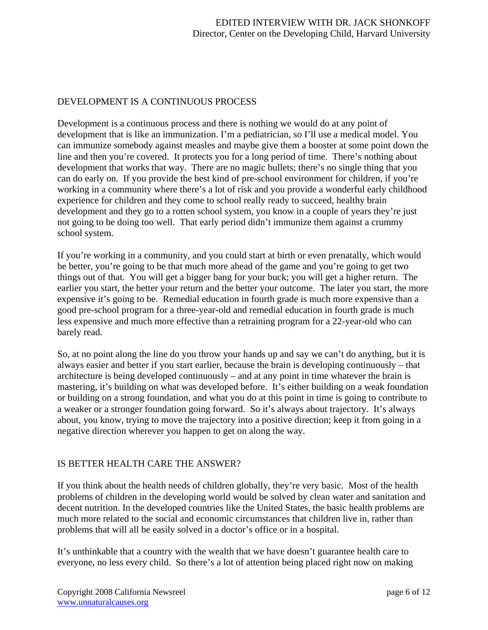#### DEVELOPMENT IS A CONTINUOUS PROCESS

Development is a continuous process and there is nothing we would do at any point of development that is like an immunization. I'm a pediatrician, so I'll use a medical model. You can immunize somebody against measles and maybe give them a booster at some point down the line and then you're covered. It protects you for a long period of time. There's nothing about development that works that way. There are no magic bullets; there's no single thing that you can do early on. If you provide the best kind of pre-school environment for children, if you're working in a community where there's a lot of risk and you provide a wonderful early childhood experience for children and they come to school really ready to succeed, healthy brain development and they go to a rotten school system, you know in a couple of years they're just not going to be doing too well. That early period didn't immunize them against a crummy school system.

If you're working in a community, and you could start at birth or even prenatally, which would be better, you're going to be that much more ahead of the game and you're going to get two things out of that. You will get a bigger bang for your buck; you will get a higher return. The earlier you start, the better your return and the better your outcome. The later you start, the more expensive it's going to be. Remedial education in fourth grade is much more expensive than a good pre-school program for a three-year-old and remedial education in fourth grade is much less expensive and much more effective than a retraining program for a 22-year-old who can barely read.

So, at no point along the line do you throw your hands up and say we can't do anything, but it is always easier and better if you start earlier, because the brain is developing continuously – that architecture is being developed continuously – and at any point in time whatever the brain is mastering, it's building on what was developed before. It's either building on a weak foundation or building on a strong foundation, and what you do at this point in time is going to contribute to a weaker or a stronger foundation going forward. So it's always about trajectory. It's always about, you know, trying to move the trajectory into a positive direction; keep it from going in a negative direction wherever you happen to get on along the way.

# IS BETTER HEALTH CARE THE ANSWER?

If you think about the health needs of children globally, they're very basic. Most of the health problems of children in the developing world would be solved by clean water and sanitation and decent nutrition. In the developed countries like the United States, the basic health problems are much more related to the social and economic circumstances that children live in, rather than problems that will all be easily solved in a doctor's office or in a hospital.

It's unthinkable that a country with the wealth that we have doesn't guarantee health care to everyone, no less every child. So there's a lot of attention being placed right now on making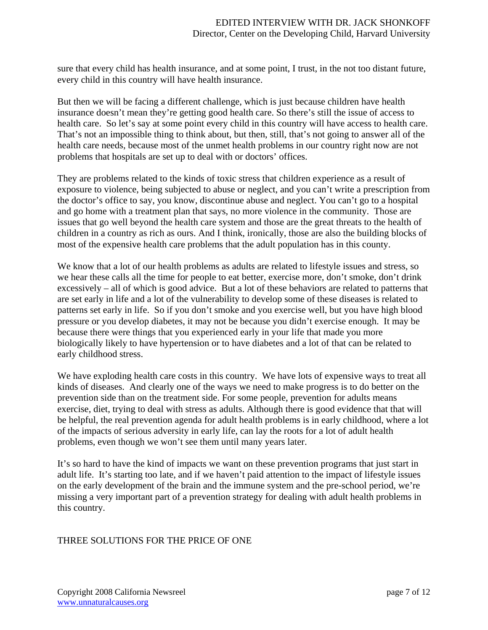sure that every child has health insurance, and at some point, I trust, in the not too distant future, every child in this country will have health insurance.

But then we will be facing a different challenge, which is just because children have health insurance doesn't mean they're getting good health care. So there's still the issue of access to health care. So let's say at some point every child in this country will have access to health care. That's not an impossible thing to think about, but then, still, that's not going to answer all of the health care needs, because most of the unmet health problems in our country right now are not problems that hospitals are set up to deal with or doctors' offices.

They are problems related to the kinds of toxic stress that children experience as a result of exposure to violence, being subjected to abuse or neglect, and you can't write a prescription from the doctor's office to say, you know, discontinue abuse and neglect. You can't go to a hospital and go home with a treatment plan that says, no more violence in the community. Those are issues that go well beyond the health care system and those are the great threats to the health of children in a country as rich as ours. And I think, ironically, those are also the building blocks of most of the expensive health care problems that the adult population has in this county.

We know that a lot of our health problems as adults are related to lifestyle issues and stress, so we hear these calls all the time for people to eat better, exercise more, don't smoke, don't drink excessively – all of which is good advice. But a lot of these behaviors are related to patterns that are set early in life and a lot of the vulnerability to develop some of these diseases is related to patterns set early in life. So if you don't smoke and you exercise well, but you have high blood pressure or you develop diabetes, it may not be because you didn't exercise enough. It may be because there were things that you experienced early in your life that made you more biologically likely to have hypertension or to have diabetes and a lot of that can be related to early childhood stress.

We have exploding health care costs in this country. We have lots of expensive ways to treat all kinds of diseases. And clearly one of the ways we need to make progress is to do better on the prevention side than on the treatment side. For some people, prevention for adults means exercise, diet, trying to deal with stress as adults. Although there is good evidence that that will be helpful, the real prevention agenda for adult health problems is in early childhood, where a lot of the impacts of serious adversity in early life, can lay the roots for a lot of adult health problems, even though we won't see them until many years later.

It's so hard to have the kind of impacts we want on these prevention programs that just start in adult life. It's starting too late, and if we haven't paid attention to the impact of lifestyle issues on the early development of the brain and the immune system and the pre-school period, we're missing a very important part of a prevention strategy for dealing with adult health problems in this country.

# THREE SOLUTIONS FOR THE PRICE OF ONE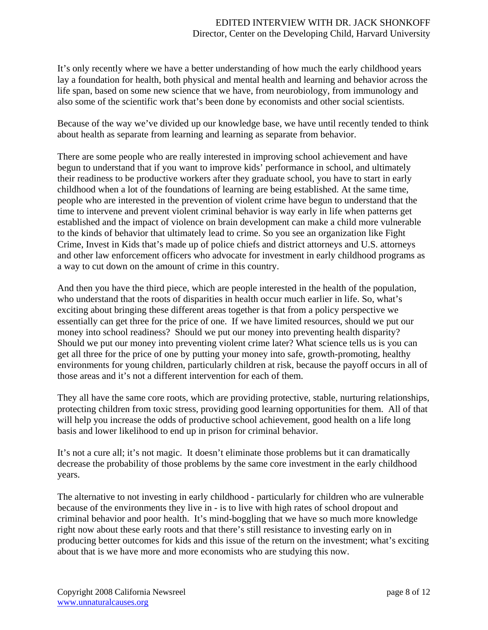It's only recently where we have a better understanding of how much the early childhood years lay a foundation for health, both physical and mental health and learning and behavior across the life span, based on some new science that we have, from neurobiology, from immunology and also some of the scientific work that's been done by economists and other social scientists.

Because of the way we've divided up our knowledge base, we have until recently tended to think about health as separate from learning and learning as separate from behavior.

There are some people who are really interested in improving school achievement and have begun to understand that if you want to improve kids' performance in school, and ultimately their readiness to be productive workers after they graduate school, you have to start in early childhood when a lot of the foundations of learning are being established. At the same time, people who are interested in the prevention of violent crime have begun to understand that the time to intervene and prevent violent criminal behavior is way early in life when patterns get established and the impact of violence on brain development can make a child more vulnerable to the kinds of behavior that ultimately lead to crime. So you see an organization like Fight Crime, Invest in Kids that's made up of police chiefs and district attorneys and U.S. attorneys and other law enforcement officers who advocate for investment in early childhood programs as a way to cut down on the amount of crime in this country.

And then you have the third piece, which are people interested in the health of the population, who understand that the roots of disparities in health occur much earlier in life. So, what's exciting about bringing these different areas together is that from a policy perspective we essentially can get three for the price of one. If we have limited resources, should we put our money into school readiness? Should we put our money into preventing health disparity? Should we put our money into preventing violent crime later? What science tells us is you can get all three for the price of one by putting your money into safe, growth-promoting, healthy environments for young children, particularly children at risk, because the payoff occurs in all of those areas and it's not a different intervention for each of them.

They all have the same core roots, which are providing protective, stable, nurturing relationships, protecting children from toxic stress, providing good learning opportunities for them. All of that will help you increase the odds of productive school achievement, good health on a life long basis and lower likelihood to end up in prison for criminal behavior.

It's not a cure all; it's not magic. It doesn't eliminate those problems but it can dramatically decrease the probability of those problems by the same core investment in the early childhood years.

The alternative to not investing in early childhood - particularly for children who are vulnerable because of the environments they live in - is to live with high rates of school dropout and criminal behavior and poor health. It's mind-boggling that we have so much more knowledge right now about these early roots and that there's still resistance to investing early on in producing better outcomes for kids and this issue of the return on the investment; what's exciting about that is we have more and more economists who are studying this now.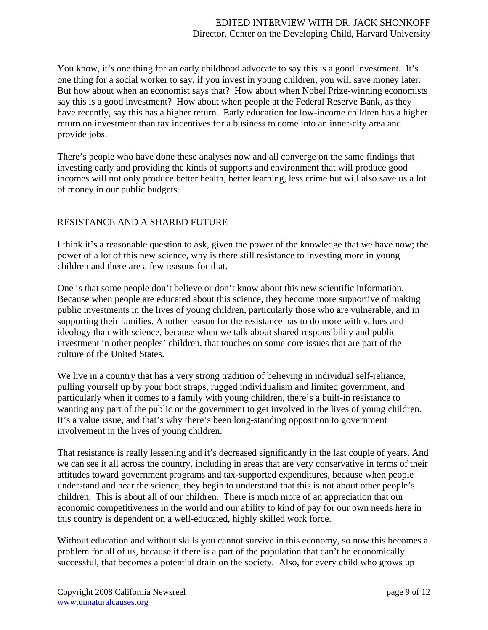You know, it's one thing for an early childhood advocate to say this is a good investment. It's one thing for a social worker to say, if you invest in young children, you will save money later. But how about when an economist says that? How about when Nobel Prize-winning economists say this is a good investment? How about when people at the Federal Reserve Bank, as they have recently, say this has a higher return. Early education for low-income children has a higher return on investment than tax incentives for a business to come into an inner-city area and provide jobs.

There's people who have done these analyses now and all converge on the same findings that investing early and providing the kinds of supports and environment that will produce good incomes will not only produce better health, better learning, less crime but will also save us a lot of money in our public budgets.

## RESISTANCE AND A SHARED FUTURE

I think it's a reasonable question to ask, given the power of the knowledge that we have now; the power of a lot of this new science, why is there still resistance to investing more in young children and there are a few reasons for that.

One is that some people don't believe or don't know about this new scientific information. Because when people are educated about this science, they become more supportive of making public investments in the lives of young children, particularly those who are vulnerable, and in supporting their families. Another reason for the resistance has to do more with values and ideology than with science, because when we talk about shared responsibility and public investment in other peoples' children, that touches on some core issues that are part of the culture of the United States.

We live in a country that has a very strong tradition of believing in individual self-reliance, pulling yourself up by your boot straps, rugged individualism and limited government, and particularly when it comes to a family with young children, there's a built-in resistance to wanting any part of the public or the government to get involved in the lives of young children. It's a value issue, and that's why there's been long-standing opposition to government involvement in the lives of young children.

That resistance is really lessening and it's decreased significantly in the last couple of years. And we can see it all across the country, including in areas that are very conservative in terms of their attitudes toward government programs and tax-supported expenditures, because when people understand and hear the science, they begin to understand that this is not about other people's children. This is about all of our children. There is much more of an appreciation that our economic competitiveness in the world and our ability to kind of pay for our own needs here in this country is dependent on a well-educated, highly skilled work force.

Without education and without skills you cannot survive in this economy, so now this becomes a problem for all of us, because if there is a part of the population that can't be economically successful, that becomes a potential drain on the society. Also, for every child who grows up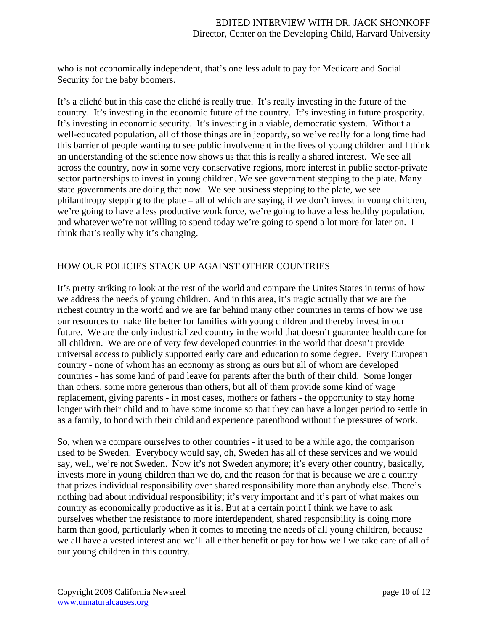who is not economically independent, that's one less adult to pay for Medicare and Social Security for the baby boomers.

It's a cliché but in this case the cliché is really true. It's really investing in the future of the country. It's investing in the economic future of the country. It's investing in future prosperity. It's investing in economic security. It's investing in a viable, democratic system. Without a well-educated population, all of those things are in jeopardy, so we've really for a long time had this barrier of people wanting to see public involvement in the lives of young children and I think an understanding of the science now shows us that this is really a shared interest. We see all across the country, now in some very conservative regions, more interest in public sector-private sector partnerships to invest in young children. We see government stepping to the plate. Many state governments are doing that now. We see business stepping to the plate, we see philanthropy stepping to the plate – all of which are saying, if we don't invest in young children, we're going to have a less productive work force, we're going to have a less healthy population, and whatever we're not willing to spend today we're going to spend a lot more for later on. I think that's really why it's changing.

## HOW OUR POLICIES STACK UP AGAINST OTHER COUNTRIES

It's pretty striking to look at the rest of the world and compare the Unites States in terms of how we address the needs of young children. And in this area, it's tragic actually that we are the richest country in the world and we are far behind many other countries in terms of how we use our resources to make life better for families with young children and thereby invest in our future. We are the only industrialized country in the world that doesn't guarantee health care for all children. We are one of very few developed countries in the world that doesn't provide universal access to publicly supported early care and education to some degree. Every European country - none of whom has an economy as strong as ours but all of whom are developed countries - has some kind of paid leave for parents after the birth of their child. Some longer than others, some more generous than others, but all of them provide some kind of wage replacement, giving parents - in most cases, mothers or fathers - the opportunity to stay home longer with their child and to have some income so that they can have a longer period to settle in as a family, to bond with their child and experience parenthood without the pressures of work.

So, when we compare ourselves to other countries - it used to be a while ago, the comparison used to be Sweden. Everybody would say, oh, Sweden has all of these services and we would say, well, we're not Sweden. Now it's not Sweden anymore; it's every other country, basically, invests more in young children than we do, and the reason for that is because we are a country that prizes individual responsibility over shared responsibility more than anybody else. There's nothing bad about individual responsibility; it's very important and it's part of what makes our country as economically productive as it is. But at a certain point I think we have to ask ourselves whether the resistance to more interdependent, shared responsibility is doing more harm than good, particularly when it comes to meeting the needs of all young children, because we all have a vested interest and we'll all either benefit or pay for how well we take care of all of our young children in this country.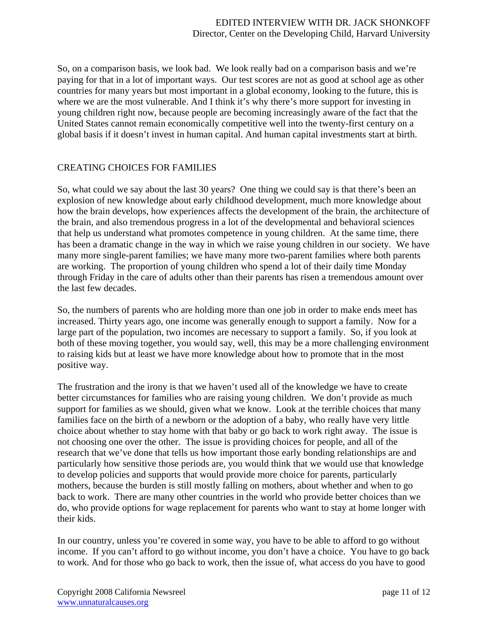So, on a comparison basis, we look bad. We look really bad on a comparison basis and we're paying for that in a lot of important ways. Our test scores are not as good at school age as other countries for many years but most important in a global economy, looking to the future, this is where we are the most vulnerable. And I think it's why there's more support for investing in young children right now, because people are becoming increasingly aware of the fact that the United States cannot remain economically competitive well into the twenty-first century on a global basis if it doesn't invest in human capital. And human capital investments start at birth.

#### CREATING CHOICES FOR FAMILIES

So, what could we say about the last 30 years? One thing we could say is that there's been an explosion of new knowledge about early childhood development, much more knowledge about how the brain develops, how experiences affects the development of the brain, the architecture of the brain, and also tremendous progress in a lot of the developmental and behavioral sciences that help us understand what promotes competence in young children. At the same time, there has been a dramatic change in the way in which we raise young children in our society. We have many more single-parent families; we have many more two-parent families where both parents are working. The proportion of young children who spend a lot of their daily time Monday through Friday in the care of adults other than their parents has risen a tremendous amount over the last few decades.

So, the numbers of parents who are holding more than one job in order to make ends meet has increased. Thirty years ago, one income was generally enough to support a family. Now for a large part of the population, two incomes are necessary to support a family. So, if you look at both of these moving together, you would say, well, this may be a more challenging environment to raising kids but at least we have more knowledge about how to promote that in the most positive way.

The frustration and the irony is that we haven't used all of the knowledge we have to create better circumstances for families who are raising young children. We don't provide as much support for families as we should, given what we know. Look at the terrible choices that many families face on the birth of a newborn or the adoption of a baby, who really have very little choice about whether to stay home with that baby or go back to work right away. The issue is not choosing one over the other. The issue is providing choices for people, and all of the research that we've done that tells us how important those early bonding relationships are and particularly how sensitive those periods are, you would think that we would use that knowledge to develop policies and supports that would provide more choice for parents, particularly mothers, because the burden is still mostly falling on mothers, about whether and when to go back to work. There are many other countries in the world who provide better choices than we do, who provide options for wage replacement for parents who want to stay at home longer with their kids.

In our country, unless you're covered in some way, you have to be able to afford to go without income. If you can't afford to go without income, you don't have a choice. You have to go back to work. And for those who go back to work, then the issue of, what access do you have to good